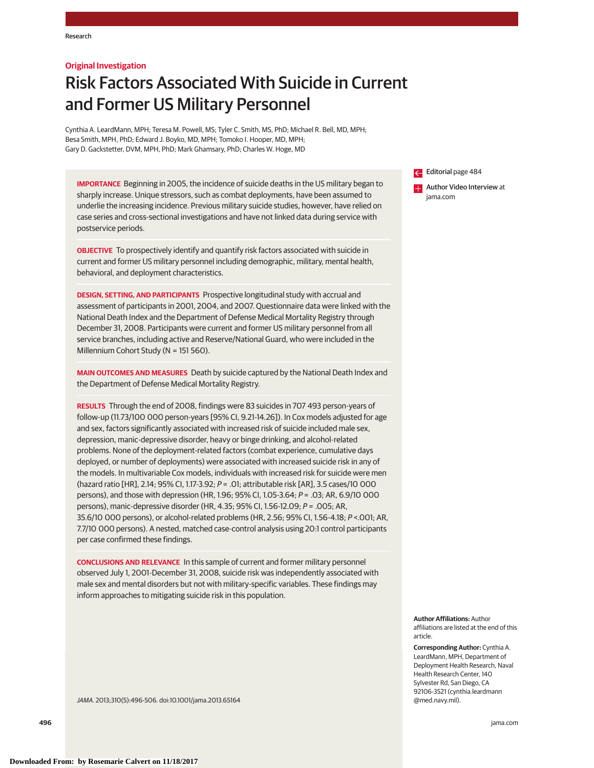#### **Original Investigation**

# Risk Factors Associated With Suicide in Current and Former US Military Personnel

Cynthia A. LeardMann, MPH; Teresa M. Powell, MS; Tyler C. Smith, MS, PhD; Michael R. Bell, MD, MPH; Besa Smith, MPH, PhD; Edward J. Boyko, MD, MPH; Tomoko I. Hooper, MD, MPH; Gary D. Gackstetter, DVM, MPH, PhD; Mark Ghamsary, PhD; Charles W. Hoge, MD

**IMPORTANCE** Beginning in 2005, the incidence of suicide deaths in the US military began to sharply increase. Unique stressors, such as combat deployments, have been assumed to underlie the increasing incidence. Previous military suicide studies, however, have relied on case series and cross-sectional investigations and have not linked data during service with postservice periods.

**OBJECTIVE** To prospectively identify and quantify risk factors associated with suicide in current and former US military personnel including demographic, military, mental health, behavioral, and deployment characteristics.

**DESIGN, SETTING, AND PARTICIPANTS** Prospective longitudinal study with accrual and assessment of participants in 2001, 2004, and 2007. Questionnaire data were linked with the National Death Index and the Department of Defense Medical Mortality Registry through December 31, 2008. Participants were current and former US military personnel from all service branches, including active and Reserve/National Guard, who were included in the Millennium Cohort Study (N = 151 560).

**MAIN OUTCOMES AND MEASURES** Death by suicide captured by the National Death Index and the Department of Defense Medical Mortality Registry.

**RESULTS** Through the end of 2008, findings were 83 suicides in 707 493 person-years of follow-up (11.73/100 000 person-years [95% CI, 9.21-14.26]). In Cox models adjusted for age and sex, factors significantly associated with increased risk of suicide included male sex, depression, manic-depressive disorder, heavy or binge drinking, and alcohol-related problems. None of the deployment-related factors (combat experience, cumulative days deployed, or number of deployments) were associated with increased suicide risk in any of the models. In multivariable Cox models, individuals with increased risk for suicide were men (hazard ratio [HR], 2.14; 95% CI, 1.17-3.92; P = .01; attributable risk [AR], 3.5 cases/10 000 persons), and those with depression (HR, 1.96; 95% CI, 1.05-3.64; P = .03; AR, 6.9/10 000 persons), manic-depressive disorder (HR, 4.35; 95% CI, 1.56-12.09; P = .005; AR, 35.6/10 000 persons), or alcohol-related problems (HR, 2.56; 95% CI, 1.56-4.18; P <.001; AR, 7.7/10 000 persons). A nested, matched case-control analysis using 20:1 control participants per case confirmed these findings.

**CONCLUSIONS AND RELEVANCE** In this sample of current and former military personnel observed July 1, 2001-December 31, 2008, suicide risk was independently associated with male sex and mental disorders but not with military-specific variables. These findings may inform approaches to mitigating suicide risk in this population.

JAMA. 2013;310(5):496-506. doi:10.1001/jama.2013.65164

Editorial page 484

**F.** Author Video Interview at jama.com

**Author Affiliations:** Author affiliations are listed at the end of this article.

**Corresponding Author:** Cynthia A. LeardMann, MPH, Department of Deployment Health Research, Naval Health Research Center, 140 Sylvester Rd, San Diego, CA 92106-3521 (cynthia.leardmann @med.navy.mil).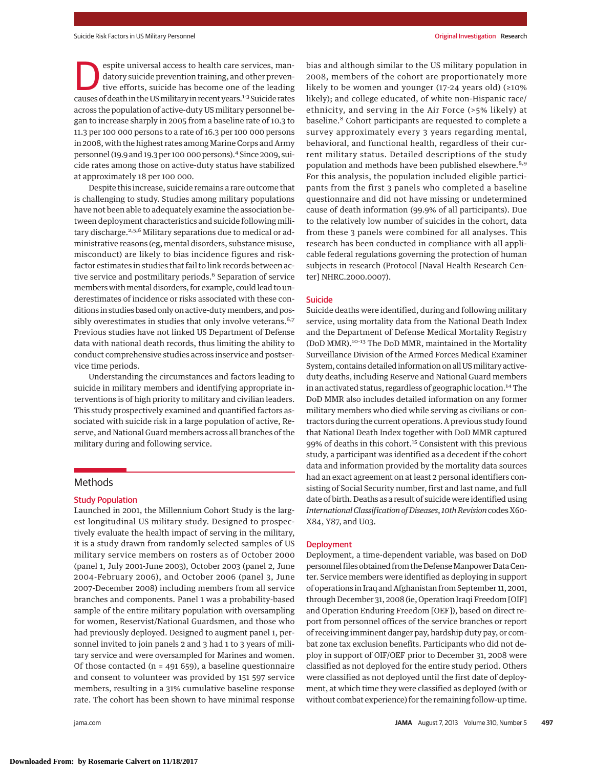Experite universal access to health care services, man-<br>datory suicide prevention training, and other preven-<br>tive efforts, suicide has become one of the leading<br>cause of doath in the US military in recent years <sup>13</sup> Suici datory suicide prevention training, and other preventive efforts, suicide has become one of the leading causes of death in the US military in recent years.<sup>1-3</sup> Suicide rates across the population of active-duty US military personnel began to increase sharply in 2005 from a baseline rate of 10.3 to 11.3 per 100 000 persons to a rate of 16.3 per 100 000 persons in 2008, with the highest rates among Marine Corps and Army personnel (19.9 and 19.3 per 100 000 persons).4 Since 2009, suicide rates among those on active-duty status have stabilized at approximately 18 per 100 000.

Despite this increase, suicide remains a rare outcome that is challenging to study. Studies among military populations have not been able to adequately examine the association between deployment characteristics and suicide following military discharge.<sup>2,5,6</sup> Military separations due to medical or administrative reasons (eg, mental disorders, substance misuse, misconduct) are likely to bias incidence figures and riskfactor estimates in studies that fail to link records between active service and postmilitary periods.<sup>6</sup> Separation of service members with mental disorders, for example, could lead to underestimates of incidence or risks associated with these conditions in studies based only on active-dutymembers, and possibly overestimates in studies that only involve veterans.<sup>6,7</sup> Previous studies have not linked US Department of Defense data with national death records, thus limiting the ability to conduct comprehensive studies across inservice and postservice time periods.

Understanding the circumstances and factors leading to suicide in military members and identifying appropriate interventions is of high priority to military and civilian leaders. This study prospectively examined and quantified factors associated with suicide risk in a large population of active, Reserve, and National Guard members across all branches of the military during and following service.

# Methods

# Study Population

Launched in 2001, the Millennium Cohort Study is the largest longitudinal US military study. Designed to prospectively evaluate the health impact of serving in the military, it is a study drawn from randomly selected samples of US military service members on rosters as of October 2000 (panel 1, July 2001-June 2003), October 2003 (panel 2, June 2004-February 2006), and October 2006 (panel 3, June 2007-December 2008) including members from all service branches and components. Panel 1 was a probability-based sample of the entire military population with oversampling for women, Reservist/National Guardsmen, and those who had previously deployed. Designed to augment panel 1, personnel invited to join panels 2 and 3 had 1 to 3 years of military service and were oversampled for Marines and women. Of those contacted ( $n = 491659$ ), a baseline questionnaire and consent to volunteer was provided by 151 597 service members, resulting in a 31% cumulative baseline response rate. The cohort has been shown to have minimal response

bias and although similar to the US military population in 2008, members of the cohort are proportionately more likely to be women and younger (17-24 years old) (≥10% likely); and college educated, of white non-Hispanic race/ ethnicity, and serving in the Air Force (>5% likely) at baseline.<sup>8</sup> Cohort participants are requested to complete a survey approximately every 3 years regarding mental, behavioral, and functional health, regardless of their current military status. Detailed descriptions of the study population and methods have been published elsewhere.<sup>8,9</sup> For this analysis, the population included eligible participants from the first 3 panels who completed a baseline questionnaire and did not have missing or undetermined cause of death information (99.9% of all participants). Due to the relatively low number of suicides in the cohort, data from these 3 panels were combined for all analyses. This research has been conducted in compliance with all applicable federal regulations governing the protection of human subjects in research (Protocol [Naval Health Research Center] NHRC.2000.0007).

#### Suicide

Suicide deaths were identified, during and following military service, using mortality data from the National Death Index and the Department of Defense Medical Mortality Registry (DoD MMR).10-13 The DoD MMR, maintained in the Mortality Surveillance Division of the Armed Forces Medical Examiner System, contains detailed information on all US military activeduty deaths, including Reserve and National Guard members in an activated status, regardless of geographic location.<sup>14</sup> The DoD MMR also includes detailed information on any former military members who died while serving as civilians or contractors during the current operations. A previous study found that National Death Index together with DoD MMR captured 99% of deaths in this cohort.<sup>15</sup> Consistent with this previous study, a participant was identified as a decedent if the cohort data and information provided by the mortality data sources had an exact agreement on at least 2 personal identifiers consisting of Social Security number, first and last name, and full date of birth. Deaths as a result of suicide were identified using *International Classification of Diseases*, *10thRevision*codes X60- X84, Y87, and U03.

## Deployment

Deployment, a time-dependent variable, was based on DoD personnel files obtained from the Defense Manpower Data Center. Service members were identified as deploying in support of operations in Iraq and Afghanistan from September 11, 2001, through December 31, 2008 (ie, Operation Iraqi Freedom [OIF] and Operation Enduring Freedom [OEF]), based on direct report from personnel offices of the service branches or report of receiving imminent danger pay, hardship duty pay, or combat zone tax exclusion benefits. Participants who did not deploy in support of OIF/OEF prior to December 31, 2008 were classified as not deployed for the entire study period. Others were classified as not deployed until the first date of deployment, at which time they were classified as deployed (with or without combat experience) for the remaining follow-up time.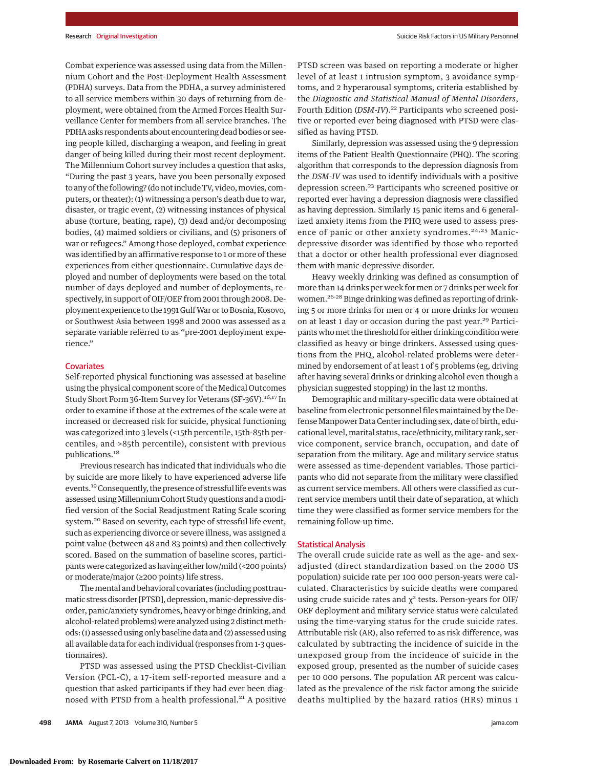Combat experience was assessed using data from the Millennium Cohort and the Post-Deployment Health Assessment (PDHA) surveys. Data from the PDHA, a survey administered to all service members within 30 days of returning from deployment, were obtained from the Armed Forces Health Surveillance Center for members from all service branches. The PDHA asks respondents about encountering dead bodies or seeing people killed, discharging a weapon, and feeling in great danger of being killed during their most recent deployment. The Millennium Cohort survey includes a question that asks, "During the past 3 years, have you been personally exposed to any of the following? (do not include TV, video, movies, computers, or theater): (1) witnessing a person's death due to war, disaster, or tragic event, (2) witnessing instances of physical abuse (torture, beating, rape), (3) dead and/or decomposing bodies, (4) maimed soldiers or civilians, and (5) prisoners of war or refugees." Among those deployed, combat experience was identified by an affirmative response to 1 or more of these experiences from either questionnaire. Cumulative days deployed and number of deployments were based on the total number of days deployed and number of deployments, respectively, in support of OIF/OEF from 2001 through 2008. Deployment experience to the 1991 GulfWar or to Bosnia, Kosovo, or Southwest Asia between 1998 and 2000 was assessed as a separate variable referred to as "pre-2001 deployment experience."

## **Covariates**

Self-reported physical functioning was assessed at baseline using the physical component score of the Medical Outcomes Study Short Form 36-Item Survey for Veterans (SF-36V).<sup>16,17</sup> In order to examine if those at the extremes of the scale were at increased or decreased risk for suicide, physical functioning was categorized into 3 levels (<15th percentile, 15th-85th percentiles, and >85th percentile), consistent with previous publications.18

Previous research has indicated that individuals who die by suicide are more likely to have experienced adverse life events.<sup>19</sup> Consequently, the presence of stressful life events was assessed usingMillennium Cohort Study questions and amodified version of the Social Readjustment Rating Scale scoring system.<sup>20</sup> Based on severity, each type of stressful life event, such as experiencing divorce or severe illness, was assigned a point value (between 48 and 83 points) and then collectively scored. Based on the summation of baseline scores, participants were categorized as having either low/mild (<200 points) or moderate/major (≥200 points) life stress.

The mental and behavioral covariates (including posttraumatic stress disorder [PTSD], depression, manic-depressive disorder, panic/anxiety syndromes, heavy or binge drinking, and alcohol-related problems) were analyzed using 2 distinct methods: (1) assessed using only baseline data and (2) assessed using all available data for each individual (responses from 1-3 questionnaires).

PTSD was assessed using the PTSD Checklist-Civilian Version (PCL-C), a 17-item self-reported measure and a question that asked participants if they had ever been diagnosed with PTSD from a health professional.<sup>21</sup> A positive PTSD screen was based on reporting a moderate or higher level of at least 1 intrusion symptom, 3 avoidance symptoms, and 2 hyperarousal symptoms, criteria established by the *Diagnostic and Statistical Manual of Mental Disorders*, Fourth Edition (*DSM-IV*).<sup>22</sup> Participants who screened positive or reported ever being diagnosed with PTSD were classified as having PTSD.

Similarly, depression was assessed using the 9 depression items of the Patient Health Questionnaire (PHQ). The scoring algorithm that corresponds to the depression diagnosis from the *DSM-IV* was used to identify individuals with a positive depression screen.<sup>23</sup> Participants who screened positive or reported ever having a depression diagnosis were classified as having depression. Similarly 15 panic items and 6 generalized anxiety items from the PHQ were used to assess presence of panic or other anxiety syndromes.<sup>24,25</sup> Manicdepressive disorder was identified by those who reported that a doctor or other health professional ever diagnosed them with manic-depressive disorder.

Heavy weekly drinking was defined as consumption of more than 14 drinks per week for men or 7 drinks per week for women.<sup>26-28</sup> Binge drinking was defined as reporting of drinking 5 or more drinks for men or 4 or more drinks for women on at least 1 day or occasion during the past year.<sup>29</sup> Participants whomet the threshold for either drinking condition were classified as heavy or binge drinkers. Assessed using questions from the PHQ, alcohol-related problems were determined by endorsement of at least 1 of 5 problems (eg, driving after having several drinks or drinking alcohol even though a physician suggested stopping) in the last 12 months.

Demographic and military-specific data were obtained at baseline from electronic personnel files maintained by the Defense Manpower Data Center including sex, date of birth, educational level, marital status, race/ethnicity, military rank, service component, service branch, occupation, and date of separation from the military. Age and military service status were assessed as time-dependent variables. Those participants who did not separate from the military were classified as current service members. All others were classified as current service members until their date of separation, at which time they were classified as former service members for the remaining follow-up time.

#### Statistical Analysis

The overall crude suicide rate as well as the age- and sexadjusted (direct standardization based on the 2000 US population) suicide rate per 100 000 person-years were calculated. Characteristics by suicide deaths were compared using crude suicide rates and  $\chi^2$  tests. Person-years for OIF/ OEF deployment and military service status were calculated using the time-varying status for the crude suicide rates. Attributable risk (AR), also referred to as risk difference, was calculated by subtracting the incidence of suicide in the unexposed group from the incidence of suicide in the exposed group, presented as the number of suicide cases per 10 000 persons. The population AR percent was calculated as the prevalence of the risk factor among the suicide deaths multiplied by the hazard ratios (HRs) minus 1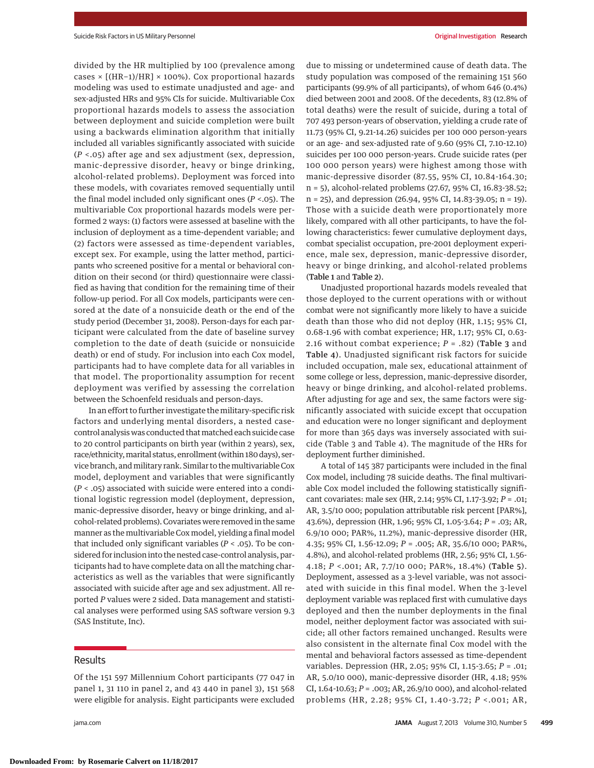divided by the HR multiplied by 100 (prevalence among cases × [(HR−1)/HR] × 100%). Cox proportional hazards modeling was used to estimate unadjusted and age- and sex-adjusted HRs and 95% CIs for suicide. Multivariable Cox proportional hazards models to assess the association between deployment and suicide completion were built using a backwards elimination algorithm that initially included all variables significantly associated with suicide (*P* <.05) after age and sex adjustment (sex, depression, manic-depressive disorder, heavy or binge drinking, alcohol-related problems). Deployment was forced into these models, with covariates removed sequentially until the final model included only significant ones (*P* <.05). The multivariable Cox proportional hazards models were performed 2 ways: (1) factors were assessed at baseline with the inclusion of deployment as a time-dependent variable; and (2) factors were assessed as time-dependent variables, except sex. For example, using the latter method, participants who screened positive for a mental or behavioral condition on their second (or third) questionnaire were classified as having that condition for the remaining time of their follow-up period. For all Cox models, participants were censored at the date of a nonsuicide death or the end of the study period (December 31, 2008). Person-days for each participant were calculated from the date of baseline survey completion to the date of death (suicide or nonsuicide death) or end of study. For inclusion into each Cox model, participants had to have complete data for all variables in that model. The proportionality assumption for recent deployment was verified by assessing the correlation between the Schoenfeld residuals and person-days.

In an effort to further investigate the military-specific risk factors and underlying mental disorders, a nested casecontrol analysis was conducted that matched each suicide case to 20 control participants on birth year (within 2 years), sex, race/ethnicity, marital status, enrollment (within 180 days), service branch, and military rank. Similar to the multivariable Cox model, deployment and variables that were significantly (*P* < .05) associated with suicide were entered into a conditional logistic regression model (deployment, depression, manic-depressive disorder, heavy or binge drinking, and alcohol-related problems). Covariates were removed in the same manner as the multivariable Cox model, yielding a final model that included only significant variables (*P* < .05). To be considered for inclusion into the nested case-control analysis, participants had to have complete data on all the matching characteristics as well as the variables that were significantly associated with suicide after age and sex adjustment. All reported *P* values were 2 sided. Data management and statistical analyses were performed using SAS software version 9.3 (SAS Institute, Inc).

# Results

Of the 151 597 Millennium Cohort participants (77 047 in panel 1, 31 110 in panel 2, and 43 440 in panel 3), 151 568 were eligible for analysis. Eight participants were excluded

due to missing or undetermined cause of death data. The study population was composed of the remaining 151 560 participants (99.9% of all participants), of whom 646 (0.4%) died between 2001 and 2008. Of the decedents, 83 (12.8% of total deaths) were the result of suicide, during a total of 707 493 person-years of observation, yielding a crude rate of 11.73 (95% CI, 9.21-14.26) suicides per 100 000 person-years or an age- and sex-adjusted rate of 9.60 (95% CI, 7.10-12.10) suicides per 100 000 person-years. Crude suicide rates (per 100 000 person years) were highest among those with manic-depressive disorder (87.55, 95% CI, 10.84-164.30; n = 5), alcohol-related problems (27.67, 95% CI, 16.83-38.52; n = 25), and depression (26.94, 95% CI, 14.83-39.05; n = 19). Those with a suicide death were proportionately more likely, compared with all other participants, to have the following characteristics: fewer cumulative deployment days, combat specialist occupation, pre-2001 deployment experience, male sex, depression, manic-depressive disorder, heavy or binge drinking, and alcohol-related problems (Table 1 and Table 2).

Unadjusted proportional hazards models revealed that those deployed to the current operations with or without combat were not significantly more likely to have a suicide death than those who did not deploy (HR, 1.15; 95% CI, 0.68-1.96 with combat experience; HR, 1.17; 95% CI, 0.63- 2.16 without combat experience; *P =* .82) (Table 3 and Table 4). Unadjusted significant risk factors for suicide included occupation, male sex, educational attainment of some college or less, depression, manic-depressive disorder, heavy or binge drinking, and alcohol-related problems. After adjusting for age and sex, the same factors were significantly associated with suicide except that occupation and education were no longer significant and deployment for more than 365 days was inversely associated with suicide (Table 3 and Table 4). The magnitude of the HRs for deployment further diminished.

A total of 145 387 participants were included in the final Cox model, including 78 suicide deaths. The final multivariable Cox model included the following statistically significant covariates: male sex (HR, 2.14; 95% CI, 1.17-3.92; *P =* .01; AR, 3.5/10 000; population attributable risk percent [PAR%], 43.6%), depression (HR, 1.96; 95% CI, 1.05-3.64; *P =* .03; AR, 6.9/10 000; PAR%, 11.2%), manic-depressive disorder (HR, 4.35; 95% CI, 1.56-12.09; *P =* .005; AR, 35.6/10 000; PAR%, 4.8%), and alcohol-related problems (HR, 2.56; 95% CI, 1.56- 4.18; *P* <.001; AR, 7.7/10 000; PAR%, 18.4%) (Table 5). Deployment, assessed as a 3-level variable, was not associated with suicide in this final model. When the 3-level deployment variable was replaced first with cumulative days deployed and then the number deployments in the final model, neither deployment factor was associated with suicide; all other factors remained unchanged. Results were also consistent in the alternate final Cox model with the mental and behavioral factors assessed as time-dependent variables. Depression (HR, 2.05; 95% CI, 1.15-3.65; *P =* .01; AR, 5.0/10 000), manic-depressive disorder (HR, 4.18; 95% CI, 1.64-10.63; *P =* .003; AR, 26.9/10 000), and alcohol-related problems (HR, 2.28; 95% CI, 1.40-3.72; *P* <.001; AR,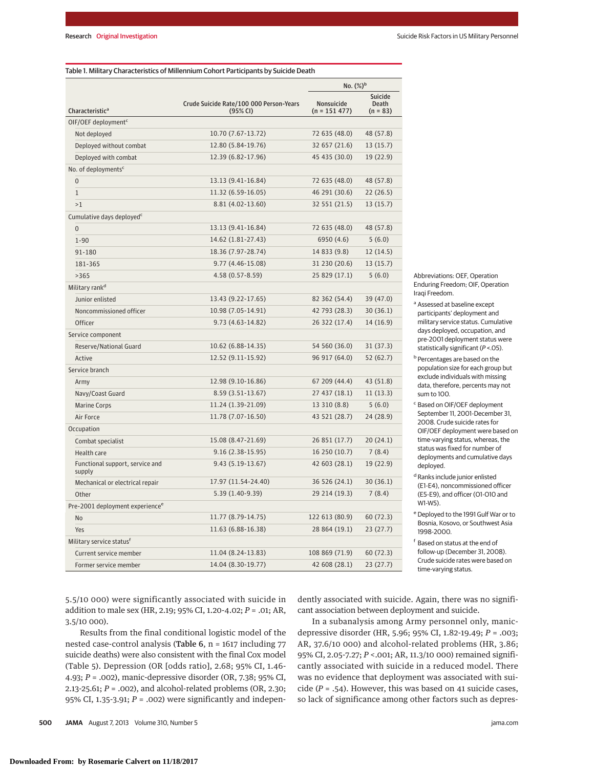|                                             |                                         | No. $(\%)^b$    |                         |
|---------------------------------------------|-----------------------------------------|-----------------|-------------------------|
| Characteristic <sup>a</sup>                 | Crude Suicide Rate/100 000 Person-Years | Nonsuicide      | <b>Suicide</b><br>Death |
| OIF/OEF deployment <sup>c</sup>             | (95% CI)                                | $(n = 151 477)$ | $(n = 83)$              |
| Not deployed                                | 10.70 (7.67-13.72)                      | 72 635 (48.0)   | 48 (57.8)               |
| Deployed without combat                     | 12.80 (5.84-19.76)                      | 32 657 (21.6)   | 13(15.7)                |
| Deployed with combat                        | 12.39 (6.82-17.96)                      | 45 435 (30.0)   | 19 (22.9)               |
| No. of deployments <sup>c</sup>             |                                         |                 |                         |
| $\overline{0}$                              | 13.13 (9.41-16.84)                      | 72 635 (48.0)   | 48 (57.8)               |
| $\mathbf{1}$                                | 11.32 (6.59-16.05)                      | 46 291 (30.6)   | 22(26.5)                |
| >1                                          | 8.81 (4.02-13.60)                       | 32 551 (21.5)   | 13(15.7)                |
| Cumulative days deployed <sup>c</sup>       |                                         |                 |                         |
| $\overline{0}$                              | 13.13 (9.41-16.84)                      | 72 635 (48.0)   | 48 (57.8)               |
| $1 - 90$                                    | 14.62 (1.81-27.43)                      | 6950 (4.6)      | 5(6.0)                  |
| 91-180                                      | 18.36 (7.97-28.74)                      | 14 833 (9.8)    | 12 (14.5)               |
| 181-365                                     | 9.77 (4.46-15.08)                       | 31 230 (20.6)   | 13(15.7)                |
| >365                                        | $4.58(0.57-8.59)$                       | 25 829 (17.1)   | 5(6.0)                  |
| Military rank <sup>d</sup>                  |                                         |                 |                         |
| Junior enlisted                             | 13.43 (9.22-17.65)                      | 82 362 (54.4)   | 39 (47.0)               |
| Noncommissioned officer                     | 10.98 (7.05-14.91)                      | 42 793 (28.3)   | 30(36.1)                |
| Officer                                     | 9.73 (4.63-14.82)                       | 26 322 (17.4)   | 14 (16.9)               |
| Service component                           |                                         |                 |                         |
| Reserve/National Guard                      | 10.62 (6.88-14.35)                      | 54 560 (36.0)   | 31(37.3)                |
| Active                                      | 12.52 (9.11-15.92)                      | 96 917 (64.0)   | 52 (62.7)               |
| Service branch                              |                                         |                 |                         |
| Army                                        | 12.98 (9.10-16.86)                      | 67 209 (44.4)   | 43 (51.8)               |
| Navy/Coast Guard                            | 8.59 (3.51-13.67)                       | 27 437 (18.1)   | 11(13.3)                |
| <b>Marine Corps</b>                         | 11.24 (1.39-21.09)                      | 13 310 (8.8)    | 5(6.0)                  |
| Air Force                                   | 11.78 (7.07-16.50)                      | 43 521 (28.7)   | 24 (28.9)               |
| Occupation                                  |                                         |                 |                         |
| Combat specialist                           | 15.08 (8.47-21.69)                      | 26 851 (17.7)   | 20(24.1)                |
| Health care                                 | $9.16(2.38-15.95)$                      | 16 250 (10.7)   | 7(8.4)                  |
| Functional support, service and<br>supply   | $9.43(5.19-13.67)$                      | 42 603 (28.1)   | 19 (22.9)               |
| Mechanical or electrical repair             | 17.97 (11.54-24.40)                     | 36 526 (24.1)   | 30(36.1)                |
| Other                                       | 5.39 (1.40-9.39)                        | 29 214 (19.3)   | 7(8.4)                  |
| Pre-2001 deployment experience <sup>e</sup> |                                         |                 |                         |
| <b>No</b>                                   | 11.77 (8.79-14.75)                      | 122 613 (80.9)  | 60(72.3)                |
| Yes                                         | 11.63 (6.88-16.38)                      | 28 864 (19.1)   | 23(27.7)                |
| Military service status <sup>f</sup>        |                                         |                 |                         |
| Current service member                      | 11.04 (8.24-13.83)                      | 108 869 (71.9)  | 60 (72.3)               |
| Former service member                       | 14.04 (8.30-19.77)                      | 42 608 (28.1)   | 23(27.7)                |

#### Table 1. Military Characteristics of Millennium Cohort Participants by Suicide Death

Abbreviations: OEF, Operation Enduring Freedom; OIF, Operation Iraqi Freedom.

- <sup>a</sup> Assessed at baseline except participants' deployment and military service status. Cumulative days deployed, occupation, and pre-2001 deployment status were statistically significant (P <. 05).
- **b** Percentages are based on the population size for each group but exclude individuals with missing data, therefore, percents may not sum to 100.
- <sup>c</sup> Based on OIF/OEF deployment September 11, 2001-December 31, 2008. Crude suicide rates for OIF/OEF deployment were based on time-varying status, whereas, the status was fixed for number of deployments and cumulative days deployed.
- <sup>d</sup> Ranks include junior enlisted (E1-E4), noncommissioned officer (E5-E9), and officer (O1-O10 and W1-W5).
- <sup>e</sup> Deployed to the 1991 Gulf War or to Bosnia, Kosovo, or Southwest Asia 1998-2000.

<sup>f</sup> Based on status at the end of follow-up (December 31, 2008). Crude suicide rates were based on time-varying status.

5.5/10 000) were significantly associated with suicide in addition to male sex (HR, 2.19; 95% CI, 1.20-4.02; *P =* .01; AR, 3.5/10 000).

Results from the final conditional logistic model of the nested case-control analysis (Table 6, n = 1617 including 77 suicide deaths) were also consistent with the final Cox model (Table 5). Depression (OR [odds ratio], 2.68; 95% CI, 1.46- 4.93; *P =* .002), manic-depressive disorder (OR, 7.38; 95% CI, 2.13-25.61; *P =* .002), and alcohol-related problems (OR, 2.30; 95% CI, 1.35-3.91; *P =* .002) were significantly and independently associated with suicide. Again, there was no significant association between deployment and suicide.

In a subanalysis among Army personnel only, manicdepressive disorder (HR, 5.96; 95% CI, 1.82-19.49; *P =* .003; AR, 37.6/10 000) and alcohol-related problems (HR, 3.86; 95% CI, 2.05-7.27; *P* <.001; AR, 11.3/10 000) remained significantly associated with suicide in a reduced model. There was no evidence that deployment was associated with suicide (*P* = .54). However, this was based on 41 suicide cases, so lack of significance among other factors such as depres-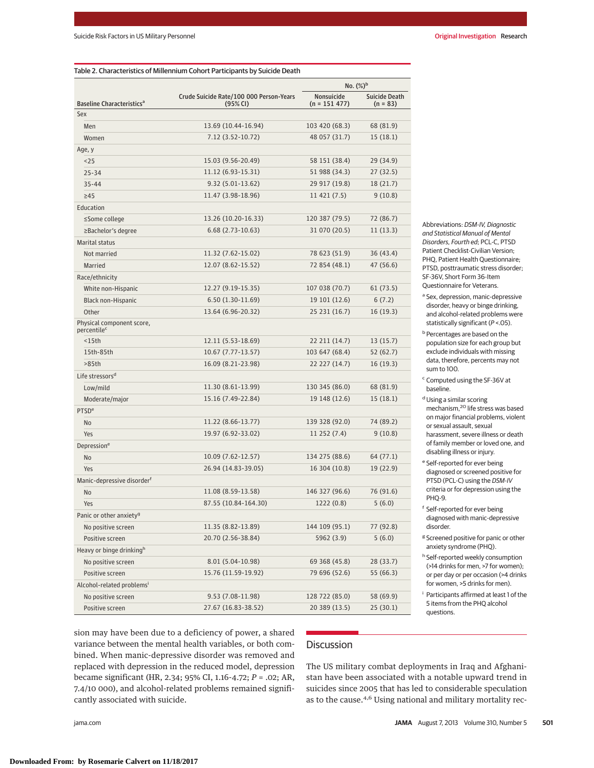| Table 2. Characteristics of Millennium Cohort Participants by Suicide Death |
|-----------------------------------------------------------------------------|
|-----------------------------------------------------------------------------|

|                                                      |                                                     | No. $(\%)^b$                  |                                    |
|------------------------------------------------------|-----------------------------------------------------|-------------------------------|------------------------------------|
| Baseline Characteristics <sup>a</sup>                | Crude Suicide Rate/100 000 Person-Years<br>(95% CI) | Nonsuicide<br>$(n = 151 477)$ | <b>Suicide Death</b><br>$(n = 83)$ |
| Sex                                                  |                                                     |                               |                                    |
| Men                                                  | 13.69 (10.44-16.94)                                 | 103 420 (68.3)                | 68 (81.9)                          |
| Women                                                | 7.12 (3.52-10.72)                                   | 48 057 (31.7)                 | 15(18.1)                           |
| Age, y                                               |                                                     |                               |                                    |
| $25$                                                 | 15.03 (9.56-20.49)                                  | 58 151 (38.4)                 | 29 (34.9)                          |
| $25 - 34$                                            | 11.12 (6.93-15.31)                                  | 51 988 (34.3)                 | 27 (32.5)                          |
| $35 - 44$                                            | $9.32(5.01-13.62)$                                  | 29 917 (19.8)                 | 18 (21.7)                          |
| $\geq 45$                                            | 11.47 (3.98-18.96)                                  | 11 421 (7.5)                  | 9(10.8)                            |
| Education                                            |                                                     |                               |                                    |
| $\leq$ Some college                                  | 13.26 (10.20-16.33)                                 | 120 387 (79.5)                | 72 (86.7)                          |
| ≥Bachelor's degree                                   | $6.68(2.73-10.63)$                                  | 31 070 (20.5)                 | 11(13.3)                           |
| <b>Marital status</b>                                |                                                     |                               |                                    |
| Not married                                          | 11.32 (7.62-15.02)                                  | 78 623 (51.9)                 | 36 (43.4)                          |
| <b>Married</b>                                       | 12.07 (8.62-15.52)                                  | 72 854 (48.1)                 | 47 (56.6)                          |
| Race/ethnicity                                       |                                                     |                               |                                    |
| White non-Hispanic                                   | 12.27 (9.19-15.35)                                  | 107 038 (70.7)                | 61 (73.5)                          |
| <b>Black non-Hispanic</b>                            | $6.50(1.30-11.69)$                                  | 19 101 (12.6)                 | 6(7.2)                             |
| Other                                                | 13.64 (6.96-20.32)                                  | 25 231 (16.7)                 | 16(19.3)                           |
| Physical component score,<br>percentile <sup>c</sup> |                                                     |                               |                                    |
| $15th$                                               | 12.11 (5.53-18.69)                                  | 22 211 (14.7)                 | 13 (15.7)                          |
| 15th-85th                                            | 10.67 (7.77-13.57)                                  | 103 647 (68.4)                | 52(62.7)                           |
| >85th                                                | 16.09 (8.21-23.98)                                  | 22 227 (14.7)                 | 16 (19.3)                          |
| Life stressors <sup>d</sup>                          |                                                     |                               |                                    |
| Low/mild                                             | 11.30 (8.61-13.99)                                  | 130 345 (86.0)                | 68 (81.9)                          |
| Moderate/major                                       | 15.16 (7.49-22.84)                                  | 19 148 (12.6)                 | 15(18.1)                           |
| <b>PTSD<sup>e</sup></b>                              |                                                     |                               |                                    |
| No                                                   | 11.22 (8.66-13.77)                                  | 139 328 (92.0)                | 74 (89.2)                          |
| Yes                                                  | 19.97 (6.92-33.02)                                  | 11 252 (7.4)                  | 9(10.8)                            |
| Depression <sup>e</sup>                              |                                                     |                               |                                    |
| <b>No</b>                                            | 10.09 (7.62-12.57)                                  | 134 275 (88.6)                | 64 (77.1)                          |
| Yes                                                  | 26.94 (14.83-39.05)                                 | 16 304 (10.8)                 | 19 (22.9)                          |
| Manic-depressive disorder <sup>f</sup>               |                                                     |                               |                                    |
| No                                                   | 11.08 (8.59-13.58)                                  | 146 327 (96.6)                | 76 (91.6)                          |
| Yes                                                  | 87.55 (10.84-164.30)                                | 1222 (0.8)                    | 5(6.0)                             |
| Panic or other anxietv <sup>g</sup>                  |                                                     |                               |                                    |
| No positive screen                                   | 11.35 (8.82-13.89)                                  | 144 109 (95.1)                | 77 (92.8)                          |
| Positive screen                                      | 20.70 (2.56-38.84)                                  | 5962 (3.9)                    | 5(6.0)                             |
| Heavy or binge drinking <sup>h</sup>                 |                                                     |                               |                                    |
| No positive screen                                   | 8.01 (5.04-10.98)                                   | 69 368 (45.8)                 | 28 (33.7)                          |
| Positive screen                                      | 15.76 (11.59-19.92)                                 | 79 696 (52.6)                 | 55 (66.3)                          |
| Alcohol-related problems <sup>i</sup>                |                                                     |                               |                                    |
| No positive screen                                   | 9.53 (7.08-11.98)                                   | 128 722 (85.0)                | 58 (69.9)                          |
| Positive screen                                      | 27.67 (16.83-38.52)                                 | 20 389 (13.5)                 | 25(30.1)                           |

Abbreviations: DSM-IV, Diagnostic and Statistical Manual of Mental Disorders, Fourth ed; PCL-C, PTSD Patient Checklist-Civilian Version; PHO, Patient Health Questionnaire; PTSD, posttraumatic stress disorder; SF-36V, Short Form 36-Item Questionnaire for Veterans.

- a Sex, depression, manic-depressive disorder, heavy or binge drinking, and alcohol-related problems were statistically significant (P <.05).
- **b** Percentages are based on the population size for each group but exclude individuals with missing data, therefore, percents may not sum to 100.
- <sup>c</sup> Computed using the SF-36V at baseline.
- <sup>d</sup> Using a similar scoring mechanism,20 life stress was based on major financial problems, violent or sexual assault, sexual harassment, severe illness or death of family member or loved one, and disabling illness or injury.
- <sup>e</sup> Self-reported for ever being diagnosed or screened positive for PTSD (PCL-C) using the DSM-IV criteria or for depression using the PHQ-9.
- <sup>f</sup> Self-reported for ever being diagnosed with manic-depressive disorder.
- <sup>g</sup> Screened positive for panic or other anxiety syndrome (PHQ).
- h Self-reported weekly consumption (>14 drinks for men, >7 for women); or per day or per occasion (>4 drinks for women, >5 drinks for men).
- <sup>i</sup> Participants affirmed at least 1 of the 5 items from the PHQ alcohol questions.

sion may have been due to a deficiency of power, a shared variance between the mental health variables, or both combined. When manic-depressive disorder was removed and replaced with depression in the reduced model, depression became significant (HR, 2.34; 95% CI, 1.16-4.72; *P =* .02; AR, 7.4/10 000), and alcohol-related problems remained significantly associated with suicide.

# **Discussion**

The US military combat deployments in Iraq and Afghanistan have been associated with a notable upward trend in suicides since 2005 that has led to considerable speculation as to the cause.<sup>4,6</sup> Using national and military mortality rec-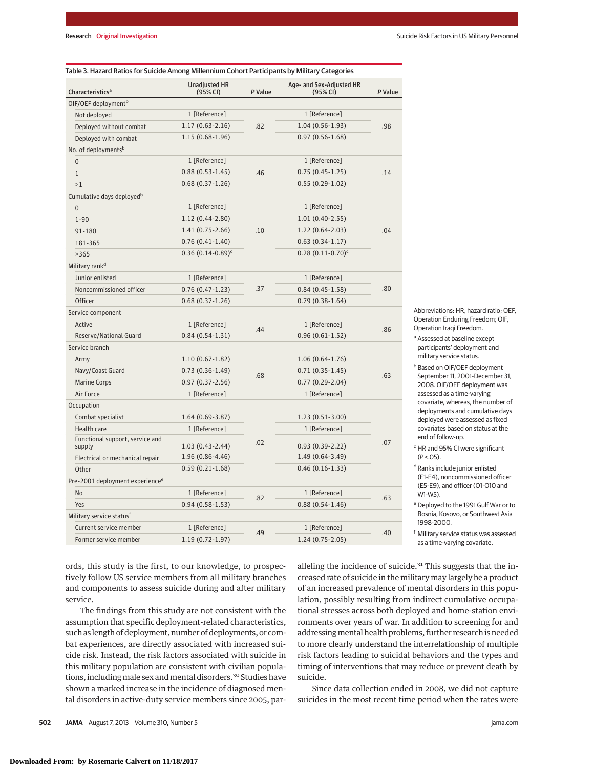| Characteristics <sup>a</sup>                | <b>Unadjusted HR</b><br>(95% CI)    | P Value | Age- and Sex-Adjusted HR<br>(95% CI) | P Value |
|---------------------------------------------|-------------------------------------|---------|--------------------------------------|---------|
| OIF/OEF deployment <sup>b</sup>             |                                     |         |                                      |         |
| Not deployed                                | 1 [Reference]                       | .82     | 1 [Reference]                        | .98     |
| Deployed without combat                     | $1.17(0.63-2.16)$                   |         | $1.04(0.56-1.93)$                    |         |
| Deployed with combat                        | $1.15(0.68-1.96)$                   |         | $0.97(0.56 - 1.68)$                  |         |
| No. of deployments <sup>b</sup>             |                                     |         |                                      |         |
| $\mathbf 0$                                 | 1 [Reference]                       | .46     | 1 [Reference]                        | .14     |
| $1\,$                                       | $0.88(0.53 - 1.45)$                 |         | $0.75(0.45-1.25)$                    |         |
| >1                                          | $0.68(0.37-1.26)$                   |         | $0.55(0.29-1.02)$                    |         |
| Cumulative days deployed <sup>b</sup>       |                                     |         |                                      |         |
| $\bf{0}$                                    | 1 [Reference]                       |         | 1 [Reference]                        |         |
| $1 - 90$                                    | $1.12(0.44 - 2.80)$                 |         | $1.01(0.40-2.55)$                    |         |
| 91-180                                      | $1.41(0.75-2.66)$                   | .10     | $1.22(0.64-2.03)$                    | .04     |
| 181-365                                     | $0.76(0.41-1.40)$                   |         | $0.63(0.34-1.17)$                    |         |
| >365                                        | $0.36$ $(0.14 - 0.89)$ <sup>c</sup> |         | $0.28(0.11-0.70)^c$                  |         |
| Military rank <sup>d</sup>                  |                                     |         |                                      |         |
| Junior enlisted                             | 1 [Reference]                       |         | 1 [Reference]                        | .80     |
| Noncommissioned officer                     | $0.76(0.47 - 1.23)$                 | .37     | $0.84(0.45-1.58)$                    |         |
| Officer                                     | $0.68(0.37-1.26)$                   |         | $0.79(0.38-1.64)$                    |         |
| Service component                           |                                     |         |                                      |         |
| Active                                      | 1 [Reference]                       |         | 1 [Reference]                        |         |
| Reserve/National Guard                      | $0.84(0.54-1.31)$                   | .44     | $0.96(0.61-1.52)$                    | .86     |
| Service branch                              |                                     |         |                                      |         |
| Army                                        | $1.10(0.67 - 1.82)$                 |         | $1.06(0.64-1.76)$                    |         |
| Navy/Coast Guard                            | $0.73(0.36-1.49)$                   | .68     | $0.71(0.35-1.45)$                    | .63     |
| <b>Marine Corps</b>                         | $0.97(0.37 - 2.56)$                 |         | $0.77(0.29-2.04)$                    |         |
| Air Force                                   | 1 [Reference]                       |         | 1 [Reference]                        |         |
| Occupation                                  |                                     |         |                                      |         |
| Combat specialist                           | $1.64(0.69-3.87)$                   |         | $1.23(0.51-3.00)$                    | .07     |
| Health care                                 | 1 [Reference]                       |         | 1 [Reference]                        |         |
| Functional support, service and<br>supply   | $1.03(0.43-2.44)$                   | .02     | $0.93(0.39-2.22)$                    |         |
| Electrical or mechanical repair             | $1.96(0.86 - 4.46)$                 |         | $1.49(0.64-3.49)$                    |         |
| Other                                       | $0.59(0.21-1.68)$                   |         | $0.46(0.16-1.33)$                    |         |
| Pre-2001 deployment experience <sup>e</sup> |                                     |         |                                      |         |
| No                                          | 1 [Reference]                       |         | 1 [Reference]                        | .63     |
| Yes                                         | $0.94(0.58-1.53)$                   | .82     | $0.88(0.54-1.46)$                    |         |
| Military service status <sup>f</sup>        |                                     |         |                                      |         |
| Current service member                      | 1 [Reference]                       |         | 1 [Reference]                        |         |
| Former service member                       | $1.19(0.72 - 1.97)$                 | .49     | $1.24(0.75-2.05)$                    | .40     |

Abbreviations: HR, hazard ratio; OEF, Operation Enduring Freedom; OIF, Operation Iraqi Freedom.

<sup>a</sup> Assessed at baseline except participants' deployment and military service status.

**b** Based on OIF/OEF deployment September 11, 2001-December 31, 2008. OIF/OEF deployment was assessed as a time-varying covariate, whereas, the number of deployments and cumulative days deployed were assessed as fixed covariates based on status at the end of follow-up.

<sup>c</sup> HR and 95% CI were significant  $(P < .05)$ .

<sup>d</sup> Ranks include junior enlisted (E1-E4), noncommissioned officer (E5-E9), and officer (O1-O10 and W1-W5).

<sup>e</sup> Deployed to the 1991 Gulf War or to Bosnia, Kosovo, or Southwest Asia 1998-2000.

<sup>f</sup> Military service status was assessed as a time-varying covariate.

ords, this study is the first, to our knowledge, to prospectively follow US service members from all military branches and components to assess suicide during and after military service.

The findings from this study are not consistent with the assumption that specific deployment-related characteristics, such as length of deployment, number of deployments, or combat experiences, are directly associated with increased suicide risk. Instead, the risk factors associated with suicide in this military population are consistent with civilian populations, including male sex and mental disorders.<sup>30</sup> Studies have shown a marked increase in the incidence of diagnosed mental disorders in active-duty service members since 2005, paralleling the incidence of suicide.<sup>31</sup> This suggests that the increased rate of suicide in the military may largely be a product of an increased prevalence of mental disorders in this population, possibly resulting from indirect cumulative occupational stresses across both deployed and home-station environments over years of war. In addition to screening for and addressing mental health problems, further research is needed to more clearly understand the interrelationship of multiple risk factors leading to suicidal behaviors and the types and timing of interventions that may reduce or prevent death by suicide.

Since data collection ended in 2008, we did not capture suicides in the most recent time period when the rates were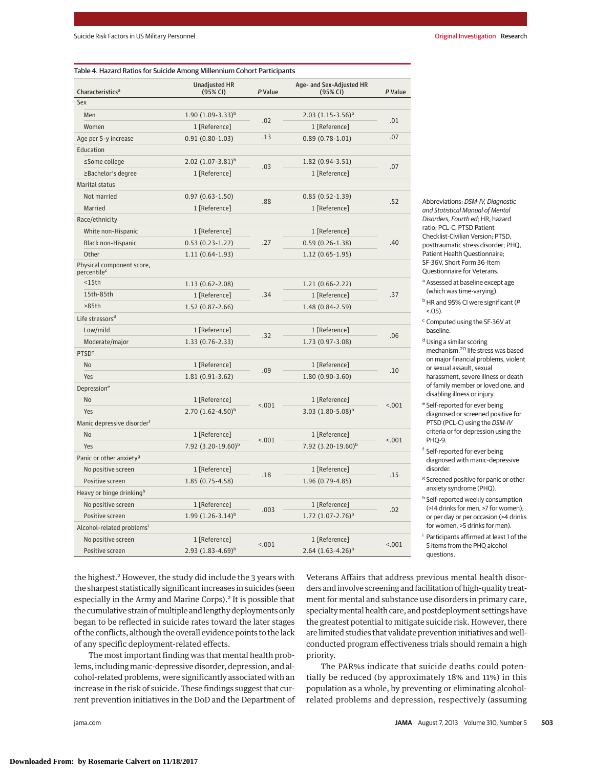|                                                      | <b>Unadjusted HR</b>           |         | Age- and Sex-Adjusted HR       |         |
|------------------------------------------------------|--------------------------------|---------|--------------------------------|---------|
| Characteristics <sup>a</sup>                         | (95% CI)                       | P Value | (95% CI)                       | P Value |
| Sex                                                  |                                |         |                                |         |
| Men                                                  | $1.90(1.09-3.33)^{b}$          | .02     | $2.03 (1.15 - 3.56)^{b}$       | .01     |
| Women                                                | 1 [Reference]                  |         | 1 [Reference]                  |         |
| Age per 5-y increase                                 | $0.91(0.80-1.03)$              | .13     | $0.89(0.78-1.01)$              | .07     |
| Education                                            |                                |         |                                |         |
| ≤Some college                                        | $2.02$ $(1.07 - 3.81)^{b}$     | .03     | $1.82(0.94-3.51)$              | .07     |
| ≥Bachelor's degree                                   | 1 [Reference]                  |         | 1 [Reference]                  |         |
| <b>Marital status</b>                                |                                |         |                                |         |
| Not married                                          | $0.97(0.63 - 1.50)$            | .88     | $0.85(0.52 - 1.39)$            | .52     |
| Married                                              | 1 [Reference]                  |         | 1 [Reference]                  |         |
| Race/ethnicity                                       |                                |         |                                |         |
| White non-Hispanic                                   | 1 [Reference]                  |         | 1 [Reference]                  |         |
| <b>Black non-Hispanic</b>                            | $0.53(0.23-1.22)$              | .27     | $0.59(0.26-1.38)$              | .40     |
| Other                                                | $1.11(0.64-1.93)$              |         | $1.12(0.65-1.95)$              |         |
| Physical component score,<br>percentile <sup>c</sup> |                                |         |                                |         |
| $15th$                                               | $1.13(0.62 - 2.08)$            |         | $1.21(0.66 - 2.22)$            | .37     |
| 15th-85th                                            | 1 [Reference]                  | .34     | 1 [Reference]                  |         |
| >85th                                                | 1.52 (0.87-2.66)               |         | $1.48(0.84 - 2.59)$            |         |
| Life stressors <sup>d</sup>                          |                                |         |                                |         |
| Low/mild                                             | 1 [Reference]                  | .32     | 1 [Reference]                  | .06     |
| Moderate/major                                       | $1.33(0.76-2.33)$              |         | 1.73 (0.97-3.08)               |         |
| <b>PTSD<sup>e</sup></b>                              |                                |         |                                |         |
| No                                                   | 1 [Reference]                  | .09     | 1 [Reference]                  | .10     |
| Yes                                                  | $1.81(0.91-3.62)$              |         | $1.80(0.90-3.60)$              |         |
| Depression <sup>e</sup>                              |                                |         |                                |         |
| <b>No</b>                                            | 1 [Reference]                  |         | 1 [Reference]                  | < .001  |
| Yes                                                  | 2.70 $(1.62 - 4.50)^b$         | < .001  | 3.03 $(1.80 - 5.08)^b$         |         |
| Manic depressive disorder <sup>f</sup>               |                                |         |                                |         |
| No                                                   | 1 [Reference]                  |         | 1 [Reference]                  | < .001  |
| Yes                                                  | 7.92 (3.20-19.60) <sup>b</sup> | < .001  | 7.92 (3.20-19.60) <sup>b</sup> |         |
| Panic or other anxiety <sup>9</sup>                  |                                |         |                                |         |
| No positive screen                                   | 1 [Reference]                  |         | 1 [Reference]                  | .15     |
| Positive screen                                      | $1.85(0.75-4.58)$              | .18     | $1.96(0.79-4.85)$              |         |
| Heavy or binge drinking <sup>h</sup>                 |                                |         |                                |         |
| No positive screen                                   | 1 [Reference]                  |         | 1 [Reference]                  | .02     |
| Positive screen                                      | $1.99(1.26-3.14)^{b}$          | .003    | $1.72$ $(1.07 - 2.76)^{b}$     |         |
| Alcohol-related problems <sup>i</sup>                |                                |         |                                |         |
| No positive screen                                   | 1 [Reference]                  |         | 1 [Reference]                  |         |
| Positive screen                                      | 2.93 $(1.83 - 4.69)^b$         | < .001  | 2.64 $(1.63 - 4.26)^b$         | < .001  |

Abbreviations: DSM-IV, Diagnostic and Statistical Manual of Mental Disorders, Fourth ed; HR, hazard ratio; PCL-C, PTSD Patient Checklist-Civilian Version; PTSD, posttraumatic stress disorder; PHQ, Patient Health Questionnaire; SF-36V, Short Form 36-Item Questionnaire for Veterans.

- <sup>a</sup> Assessed at baseline except age (which was time-varying).
- <sup>b</sup> HR and 95% CI were significant (P  $< .05$ ).
- <sup>c</sup> Computed using the SF-36V at baseline.
- d Using a similar scoring mechanism,20 life stress was based on major financial problems, violent or sexual assault, sexual harassment, severe illness or death of family member or loved one, and disabling illness or injury.
- <sup>e</sup> Self-reported for ever being diagnosed or screened positive for PTSD (PCL-C) using the DSM-IV criteria or for depression using the PHQ-9.
- <sup>f</sup> Self-reported for ever being diagnosed with manic-depressive disorder.
- <sup>g</sup> Screened positive for panic or other anxiety syndrome (PHQ).
- h Self-reported weekly consumption (>14 drinks for men, >7 for women); or per day or per occasion (>4 drinks for women, >5 drinks for men).
- Participants affirmed at least 1 of the 5 items from the PHQ alcohol questions.

the highest.2 However, the study did include the 3 years with the sharpest statistically significant increases in suicides (seen especially in the Army and Marine Corps).<sup>2</sup> It is possible that the cumulative strain of multiple and lengthy deployments only began to be reflected in suicide rates toward the later stages of the conflicts, although the overall evidence points to the lack of any specific deployment-related effects.

The most important finding was that mental health problems, includingmanic-depressive disorder, depression, and alcohol-related problems, were significantly associated with an increase in the risk of suicide. These findings suggest that current prevention initiatives in the DoD and the Department of Veterans Affairs that address previous mental health disorders and involve screening and facilitation of high-quality treatment for mental and substance use disorders in primary care, specialtymental health care, and postdeployment settings have the greatest potential to mitigate suicide risk. However, there are limited studies that validate prevention initiatives and wellconducted program effectiveness trials should remain a high priority.

The PAR%s indicate that suicide deaths could potentially be reduced (by approximately 18% and 11%) in this population as a whole, by preventing or eliminating alcoholrelated problems and depression, respectively (assuming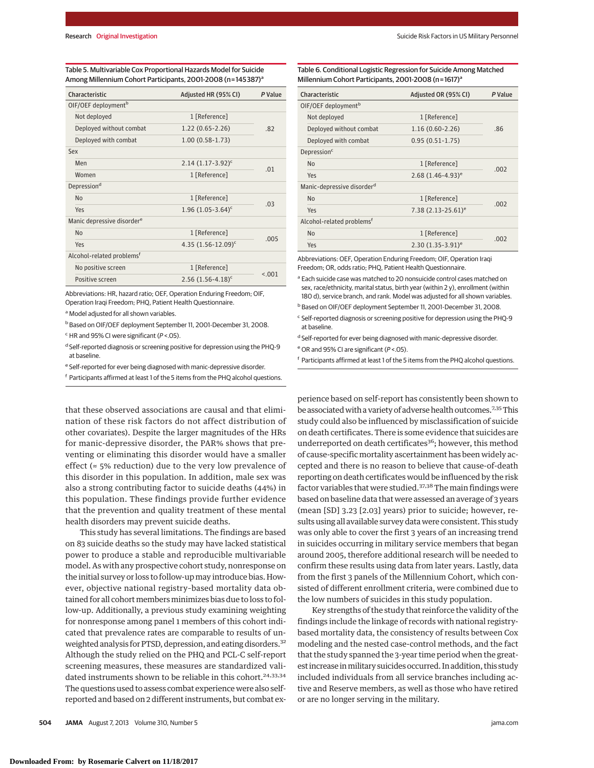Table 5. Multivariable Cox Proportional Hazards Model for Suicide Among Millennium Cohort Participants, 2001-2008 (n=145387)<sup>a</sup>

| Characteristic                         | Adjusted HR (95% CI)    | P Value |  |
|----------------------------------------|-------------------------|---------|--|
| OIF/OEF deployment <sup>b</sup>        |                         |         |  |
| Not deployed                           | 1 [Reference]           |         |  |
| Deployed without combat                | $1.22(0.65 - 2.26)$     | 82      |  |
| Deployed with combat                   | $1.00(0.58-1.73)$       |         |  |
| Sex                                    |                         |         |  |
| Men                                    | $2.14(1.17-3.92)^c$     | .01     |  |
| Women                                  | 1 [Reference]           |         |  |
| Depression <sup>d</sup>                |                         |         |  |
| <b>No</b>                              | 1 [Reference]           | .03     |  |
| Yes                                    | $1.96$ $(1.05-3.64)^c$  |         |  |
| Manic depressive disorder <sup>e</sup> |                         |         |  |
| N <sub>0</sub>                         | 1 [Reference]           | 005     |  |
| Yes                                    | 4.35 $(1.56 - 12.09)^c$ |         |  |
| Alcohol-related problems <sup>f</sup>  |                         |         |  |
| No positive screen                     | 1 [Reference]           | < 0.01  |  |
| Positive screen                        | 2.56 $(1.56 - 4.18)^c$  |         |  |

Abbreviations: HR, hazard ratio; OEF, Operation Enduring Freedom; OIF, Operation Iraqi Freedom; PHQ, Patient Health Questionnaire.

a Model adjusted for all shown variables.

<sup>b</sup> Based on OIF/OEF deployment September 11, 2001-December 31, 2008.

 $c$  HR and 95% CI were significant ( $P <$  05).

<sup>d</sup> Self-reported diagnosis or screening positive for depression using the PHQ-9 at baseline.

<sup>e</sup> Self-reported for ever being diagnosed with manic-depressive disorder.

<sup>f</sup> Participants affirmed at least 1 of the 5 items from the PHQ alcohol questions.

that these observed associations are causal and that elimination of these risk factors do not affect distribution of other covariates). Despite the larger magnitudes of the HRs for manic-depressive disorder, the PAR% shows that preventing or eliminating this disorder would have a smaller effect ( $\approx$  5% reduction) due to the very low prevalence of this disorder in this population. In addition, male sex was also a strong contributing factor to suicide deaths (44%) in this population. These findings provide further evidence that the prevention and quality treatment of these mental health disorders may prevent suicide deaths.

This study has several limitations. The findings are based on 83 suicide deaths so the study may have lacked statistical power to produce a stable and reproducible multivariable model. As with any prospective cohort study, nonresponse on the initial survey or loss to follow-up may introduce bias. However, objective national registry–based mortality data obtained for all cohort members minimizes bias due to loss to follow-up. Additionally, a previous study examining weighting for nonresponse among panel 1 members of this cohort indicated that prevalence rates are comparable to results of unweighted analysis for PTSD, depression, and eating disorders.<sup>32</sup> Although the study relied on the PHQ and PCL-C self-report screening measures, these measures are standardized validated instruments shown to be reliable in this cohort.<sup>24,33,34</sup> The questions used to assess combat experience were also selfreported and based on 2 different instruments, but combat exTable 6. Conditional Logistic Regression for Suicide Among Matched Millennium Cohort Participants, 2001-2008 (n=1617)<sup>a</sup>

| Characteristic                         | Adjusted OR (95% CI)     | P Value |  |
|----------------------------------------|--------------------------|---------|--|
| OIF/OEF deployment <sup>b</sup>        |                          |         |  |
| Not deployed                           | 1 [Reference]            |         |  |
| Deployed without combat                | $1.16(0.60-2.26)$        | .86     |  |
| Deployed with combat                   | $0.95(0.51-1.75)$        |         |  |
| Depression <sup>c</sup>                |                          |         |  |
| N <sub>0</sub>                         | 1 [Reference]            | .002    |  |
| Yes                                    | $2.68$ $(1.46 - 4.93)^e$ |         |  |
| Manic-depressive disorder <sup>d</sup> |                          |         |  |
| N <sub>0</sub>                         | 1 [Reference]            | .002    |  |
| Yes                                    | 7.38 $(2.13 - 25.61)^e$  |         |  |
| Alcohol-related problems <sup>f</sup>  |                          |         |  |
| N <sub>0</sub>                         | 1 [Reference]            | .002    |  |
| Yes                                    | 2.30 $(1.35-3.91)^e$     |         |  |

Abbreviations: OEF, Operation Enduring Freedom; OIF, Operation Iraqi Freedom; OR, odds ratio; PHQ, Patient Health Questionnaire.

<sup>a</sup> Each suicide case was matched to 20 nonsuicide control cases matched on sex, race/ethnicity, marital status, birth year (within 2 y), enrollment (within 180 d), service branch, and rank. Model was adjusted for all shown variables.

b Based on OIF/OEF deployment September 11, 2001-December 31, 2008.

<sup>c</sup> Self-reported diagnosis or screening positive for depression using the PHQ-9 at baseline.

<sup>d</sup> Self-reported for ever being diagnosed with manic-depressive disorder.

 $e^{\text{e}}$  OR and 95% CI are significant ( $P$  <.05).

<sup>f</sup> Participants affirmed at least 1 of the 5 items from the PHQ alcohol questions.

perience based on self-report has consistently been shown to be associated with a variety of adverse health outcomes.<sup>7,35</sup>This study could also be influenced by misclassification of suicide on death certificates. There is some evidence that suicides are underreported on death certificates<sup>36</sup>; however, this method of cause-specific mortality ascertainment has been widely accepted and there is no reason to believe that cause-of-death reporting on death certificates would be influenced by the risk factor variables that were studied.<sup>37,38</sup> The main findings were based on baseline data that were assessed an average of 3 years (mean [SD] 3.23 [2.03] years) prior to suicide; however, results using all available survey data were consistent. This study was only able to cover the first 3 years of an increasing trend in suicides occurring in military service members that began around 2005, therefore additional research will be needed to confirm these results using data from later years. Lastly, data from the first 3 panels of the Millennium Cohort, which consisted of different enrollment criteria, were combined due to the low numbers of suicides in this study population.

Key strengths of the study that reinforce the validity of the findings include the linkage of records with national registrybased mortality data, the consistency of results between Cox modeling and the nested case-control methods, and the fact that the study spanned the 3-year time period when the greatest increase in military suicides occurred. In addition, this study included individuals from all service branches including active and Reserve members, as well as those who have retired or are no longer serving in the military.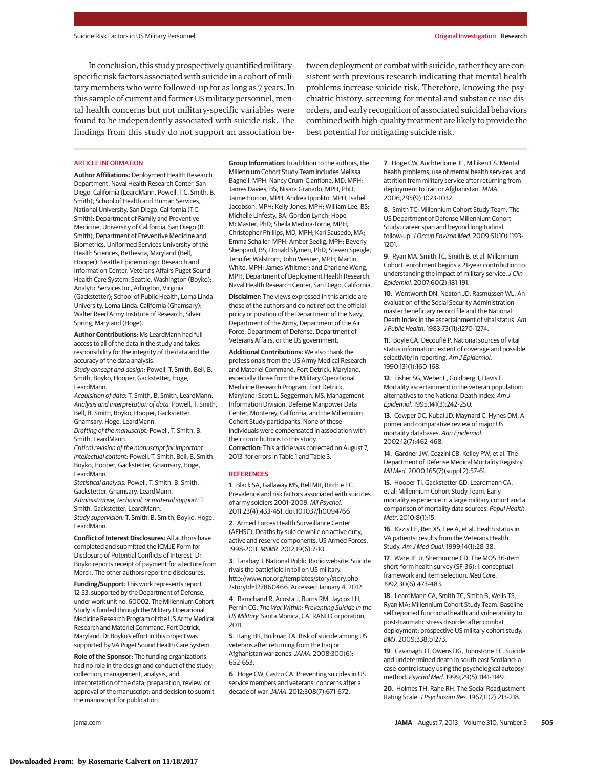In conclusion, this study prospectively quantifiedmilitaryspecific risk factors associated with suicide in a cohort of military members who were followed-up for as long as 7 years. In this sample of current and former US military personnel, mental health concerns but not military-specific variables were found to be independently associated with suicide risk. The findings from this study do not support an association between deployment or combat with suicide, rather they are consistent with previous research indicating that mental health problems increase suicide risk. Therefore, knowing the psychiatric history, screening for mental and substance use disorders, and early recognition of associated suicidal behaviors combined with high-quality treatment are likely to provide the best potential for mitigating suicide risk.

#### ARTICLE INFORMATION

**Author Affiliations:** Deployment Health Research Department, Naval Health Research Center, San Diego, California (LeardMann, Powell, T.C. Smith, B. Smith); School of Health and Human Services, National University, San Diego, California (T.C. Smith); Department of Family and Preventive Medicine, University of California, San Diego (B. Smith); Department of Preventive Medicine and Biometrics, Uniformed Services University of the Health Sciences, Bethesda, Maryland (Bell, Hooper); Seattle Epidemiologic Research and Information Center, Veterans Affairs Puget Sound Health Care System, Seattle, Washington (Boyko); Analytic Services Inc, Arlington, Virginia (Gackstetter); School of Public Health, Loma Linda University, Loma Linda, California (Ghamsary); Walter Reed Army Institute of Research, Silver Spring, Maryland (Hoge).

**Author Contributions:** Ms LeardMann had full access to all of the data in the study and takes responsibility for the integrity of the data and the accuracy of the data analysis. Study concept and design: Powell, T. Smith, Bell, B.

Smith, Boyko, Hooper, Gackstetter, Hoge, LeardMann.

Acquisition of data: T. Smith, B. Smith, LeardMann. Analysis and interpretation of data: Powell, T. Smith, Bell, B. Smith, Boyko, Hooper, Gackstetter, Ghamsary, Hoge, LeardMann.

Drafting of the manuscript: Powell, T. Smith, B. Smith, LeardMann.

Critical revision of the manuscript for important intellectual content: Powell, T. Smith, Bell, B. Smith, Boyko, Hooper, Gackstetter, Ghamsary, Hoge, LeardMann.

Statistical analysis: Powell, T. Smith, B. Smith, Gackstetter, Ghamsary, LeardMann.

Administrative, technical, or material support: T. Smith, Gackstetter, LeardMann.

Study supervision: T. Smith, B. Smith, Boyko, Hoge, LeardMann.

**Conflict of Interest Disclosures:** All authors have completed and submitted the ICMJE Form for Disclosure of Potential Conflicts of Interest. Dr Boyko reports receipt of payment for a lecture from Merck. The other authors report no disclosures.

**Funding/Support:** This work represents report 12-53, supported by the Department of Defense, under work unit no. 60002. The Millennium Cohort Study is funded through the Military Operational Medicine Research Program of the US Army Medical Research and Materiel Command, Fort Detrick, Maryland. Dr Boyko's effort in this project was supported by VA Puget Sound Health Care System.

**Role of the Sponsor:** The funding organizations had no role in the design and conduct of the study; collection, management, analysis, and interpretation of the data; preparation, review, or approval of the manuscript; and decision to submit the manuscript for publication.

**Group Information:** In addition to the authors, the Millennium Cohort Study Team includes Melissa Bagnell, MPH; Nancy Crum-Cianflone, MD, MPH; James Davies, BS; Nisara Granado, MPH, PhD; Jaime Horton, MPH; Andrea Ippolito, MPH; Isabel Jacobson, MPH; Kelly Jones, MPH; William Lee, BS; Michelle Linfesty, BA; Gordon Lynch; Hope McMaster, PhD; Sheila Medina-Torne, MPH; Christopher Phillips, MD, MPH; Kari Sausedo, MA; Emma Schaller, MPH; Amber Seelig, MPH; Beverly Sheppard, BS; Donald Slymen, PhD; Steven Speigle; Jennifer Walstrom; John Wesner, MPH; Martin White, MPH; James Whitmer; and Charlene Wong, MPH, Department of Deployment Health Research, Naval Health Research Center, San Diego, California.

**Disclaimer:** The views expressed in this article are those of the authors and do not reflect the official policy or position of the Department of the Navy, Department of the Army, Department of the Air Force, Department of Defense, Department of Veterans Affairs, or the US government.

**Additional Contributions:** We also thank the professionals from the US Army Medical Research and Materiel Command, Fort Detrick, Maryland, especially those from the Military Operational Medicine Research Program, Fort Detrick, Maryland; Scott L. Seggerman, MS, Management Information Division, Defense Manpower Data Center, Monterey, California; and the Millennium Cohort Study participants. None of these individuals were compensated in association with their contributions to this study. **Correction:** This article was corrected on August 7,

2013, for errors in Table 1 and Table 3.

#### **REFERENCES**

**1**. Black SA, Gallaway MS, Bell MR, Ritchie EC. Prevalence and risk factors associated with suicides of army soldiers 2001–2009. Mil Psychol. 2011;23(4):433-451. doi.10.1037/h0094766

**2**. Armed Forces Health Surveillance Center (AFHSC). Deaths by suicide while on active duty, active and reserve components, US Armed Forces, 1998-2011. MSMR. 2012;19(6):7-10.

**3**. Tarabay J. National Public Radio website. Suicide rivals the battlefield in toll on US military. http://www.npr.org/templates/story/story.php ?storyId=127860466. Accessed January 4, 2012.

**4**. Ramchand R, Acosta J, Burns RM, Jaycox LH, Pernin CG. The War Within: Preventing Suicide in the US Military. Santa Monica, CA: RAND Corporation; 2011.

**5**. Kang HK, Bullman TA. Risk of suicide among US veterans after returning from the Iraq or Afghanistan war zones. JAMA. 2008;300(6): 652-653.

**6**. Hoge CW, Castro CA. Preventing suicides in US service members and veterans: concerns after a decade of war.JAMA. 2012;308(7):671-672.

**7**. Hoge CW, Auchterlonie JL, Milliken CS. Mental health problems, use of mental health services, and attrition from military service after returning from deployment to Iraq or Afghanistan. JAMA. 2006;295(9):1023-1032.

**8**. Smith TC; Millennium Cohort Study Team. The US Department of Defense Millennium Cohort Study: career span and beyond longitudinal follow-up.J Occup Environ Med. 2009;51(10):1193- 1201.

**9**. Ryan MA, Smith TC, Smith B, et al. Millennium Cohort: enrollment begins a 21-year contribution to understanding the impact of military service. J Clin Epidemiol. 2007;60(2):181-191.

**10**. Wentworth DN, Neaton JD, Rasmussen WL. An evaluation of the Social Security Administration master beneficiary record file and the National Death Index in the ascertainment of vital status. Am J Public Health. 1983;73(11):1270-1274.

**11**. Boyle CA, Decouflé P. National sources of vital status information: extent of coverage and possible selectivity in reporting. Am J Epidemiol. 1990;131(1):160-168.

**12**. Fisher SG, Weber L, Goldberg J, Davis F. Mortality ascertainment in the veteran population: alternatives to the National Death Index. Am J Epidemiol. 1995;141(3):242-250.

**13**. Cowper DC, Kubal JD, Maynard C, Hynes DM. A primer and comparative review of major US mortality databases. Ann Epidemiol. 2002;12(7):462-468.

**14**. Gardner JW, Cozzini CB, Kelley PW, et al. The Department of Defense Medical Mortality Registry. Mil Med. 2000;165(7)(suppl 2):57-61.

**15**. Hooper TI, Gackstetter GD, Leardmann CA, et al; Millennium Cohort Study Team. Early mortality experience in a large military cohort and a comparison of mortality data sources. Popul Health Metr. 2010;8(1):15.

**16**. Kazis LE, Ren XS, Lee A, et al. Health status in VA patients: results from the Veterans Health Study. Am J Med Qual. 1999;14(1):28-38.

**17**. Ware JE Jr, Sherbourne CD. The MOS 36-item short-form health survey (SF-36): I, conceptual framework and item selection. Med Care. 1992;30(6):473-483.

**18**. LeardMann CA, Smith TC, Smith B, Wells TS, Ryan MA; Millennium Cohort Study Team. Baseline self reported functional health and vulnerability to post-traumatic stress disorder after combat deployment: prospective US military cohort study. BMJ. 2009;338:b1273.

**19**. Cavanagh JT, Owens DG, Johnstone EC. Suicide and undetermined death in south east Scotland: a case-control study using the psychological autopsy method. Psychol Med. 1999;29(5):1141-1149.

**20**. Holmes TH, Rahe RH. The Social Readjustment Rating Scale. J Psychosom Res. 1967;11(2):213-218.